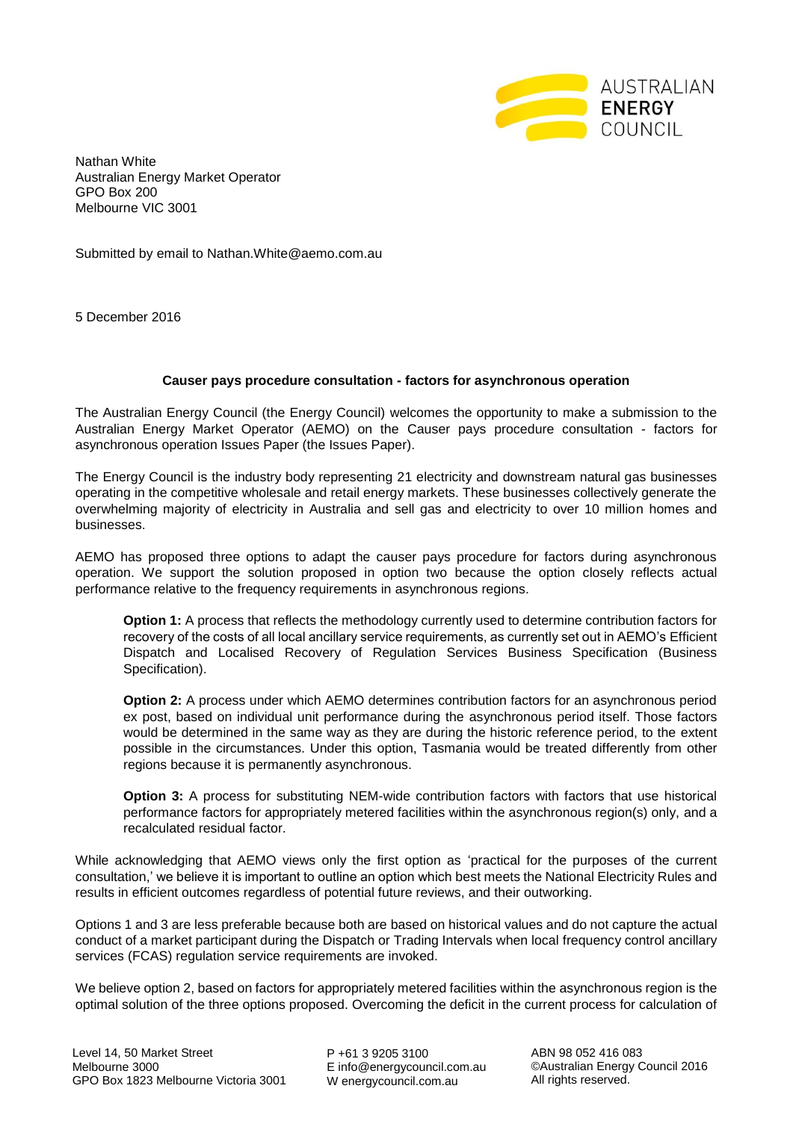

Nathan White Australian Energy Market Operator GPO Box 200 Melbourne VIC 3001

Submitted by email to Nathan.White@aemo.com.au

5 December 2016

## **Causer pays procedure consultation - factors for asynchronous operation**

The Australian Energy Council (the Energy Council) welcomes the opportunity to make a submission to the Australian Energy Market Operator (AEMO) on the Causer pays procedure consultation - factors for asynchronous operation Issues Paper (the Issues Paper).

The Energy Council is the industry body representing 21 electricity and downstream natural gas businesses operating in the competitive wholesale and retail energy markets. These businesses collectively generate the overwhelming majority of electricity in Australia and sell gas and electricity to over 10 million homes and businesses.

AEMO has proposed three options to adapt the causer pays procedure for factors during asynchronous operation. We support the solution proposed in option two because the option closely reflects actual performance relative to the frequency requirements in asynchronous regions.

**Option 1:** A process that reflects the methodology currently used to determine contribution factors for recovery of the costs of all local ancillary service requirements, as currently set out in AEMO's Efficient Dispatch and Localised Recovery of Regulation Services Business Specification (Business Specification).

**Option 2:** A process under which AEMO determines contribution factors for an asynchronous period ex post, based on individual unit performance during the asynchronous period itself. Those factors would be determined in the same way as they are during the historic reference period, to the extent possible in the circumstances. Under this option, Tasmania would be treated differently from other regions because it is permanently asynchronous.

**Option 3:** A process for substituting NEM-wide contribution factors with factors that use historical performance factors for appropriately metered facilities within the asynchronous region(s) only, and a recalculated residual factor.

While acknowledging that AEMO views only the first option as 'practical for the purposes of the current consultation,' we believe it is important to outline an option which best meets the National Electricity Rules and results in efficient outcomes regardless of potential future reviews, and their outworking.

Options 1 and 3 are less preferable because both are based on historical values and do not capture the actual conduct of a market participant during the Dispatch or Trading Intervals when local frequency control ancillary services (FCAS) regulation service requirements are invoked.

We believe option 2, based on factors for appropriately metered facilities within the asynchronous region is the optimal solution of the three options proposed. Overcoming the deficit in the current process for calculation of

P +61 3 9205 3100 E info@energycouncil.com.au W energycouncil.com.au

ABN 98 052 416 083 ©Australian Energy Council 2016 All rights reserved.